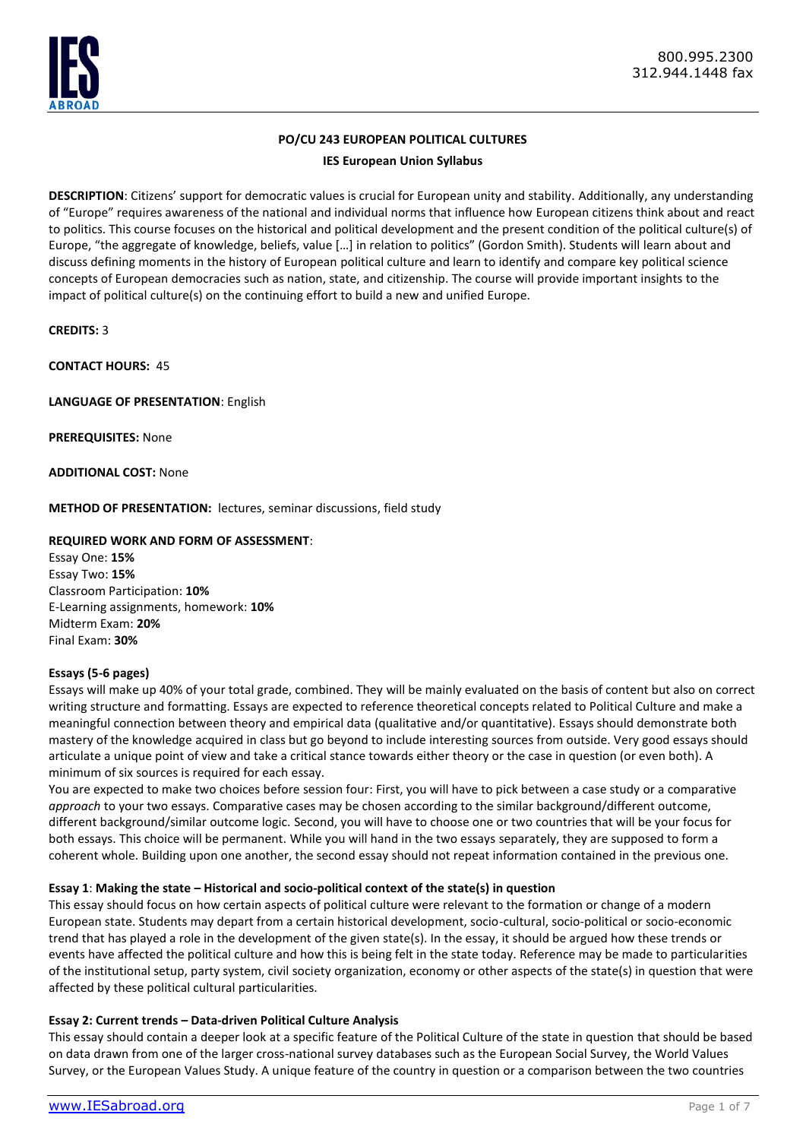

# **PO/CU 243 EUROPEAN POLITICAL CULTURES**

**IES European Union Syllabus**

**DESCRIPTION**: Citizens' support for democratic values is crucial for European unity and stability. Additionally, any understanding of "Europe" requires awareness of the national and individual norms that influence how European citizens think about and react to politics. This course focuses on the historical and political development and the present condition of the political culture(s) of Europe, "the aggregate of knowledge, beliefs, value […] in relation to politics" (Gordon Smith). Students will learn about and discuss defining moments in the history of European political culture and learn to identify and compare key political science concepts of European democracies such as nation, state, and citizenship. The course will provide important insights to the impact of political culture(s) on the continuing effort to build a new and unified Europe.

**CREDITS:** 3

**CONTACT HOURS:** 45

**LANGUAGE OF PRESENTATION**: English

**PREREQUISITES:** None

**ADDITIONAL COST:** None

**METHOD OF PRESENTATION:** lectures, seminar discussions, field study

# **REQUIRED WORK AND FORM OF ASSESSMENT**:

Essay One: **15%**  Essay Two: **15%**  Classroom Participation: **10%** E-Learning assignments, homework: **10%** Midterm Exam: **20%**  Final Exam: **30%** 

# **Essays (5-6 pages)**

Essays will make up 40% of your total grade, combined. They will be mainly evaluated on the basis of content but also on correct writing structure and formatting. Essays are expected to reference theoretical concepts related to Political Culture and make a meaningful connection between theory and empirical data (qualitative and/or quantitative). Essays should demonstrate both mastery of the knowledge acquired in class but go beyond to include interesting sources from outside. Very good essays should articulate a unique point of view and take a critical stance towards either theory or the case in question (or even both). A minimum of six sources is required for each essay.

You are expected to make two choices before session four: First, you will have to pick between a case study or a comparative *approach* to your two essays. Comparative cases may be chosen according to the similar background/different outcome, different background/similar outcome logic. Second, you will have to choose one or two countries that will be your focus for both essays. This choice will be permanent. While you will hand in the two essays separately, they are supposed to form a coherent whole. Building upon one another, the second essay should not repeat information contained in the previous one.

## **Essay 1**: **Making the state – Historical and socio-political context of the state(s) in question**

This essay should focus on how certain aspects of political culture were relevant to the formation or change of a modern European state. Students may depart from a certain historical development, socio-cultural, socio-political or socio-economic trend that has played a role in the development of the given state(s). In the essay, it should be argued how these trends or events have affected the political culture and how this is being felt in the state today. Reference may be made to particularities of the institutional setup, party system, civil society organization, economy or other aspects of the state(s) in question that were affected by these political cultural particularities.

## **Essay 2: Current trends – Data-driven Political Culture Analysis**

This essay should contain a deeper look at a specific feature of the Political Culture of the state in question that should be based on data drawn from one of the larger cross-national survey databases such as the European Social Survey, the World Values Survey, or the European Values Study. A unique feature of the country in question or a comparison between the two countries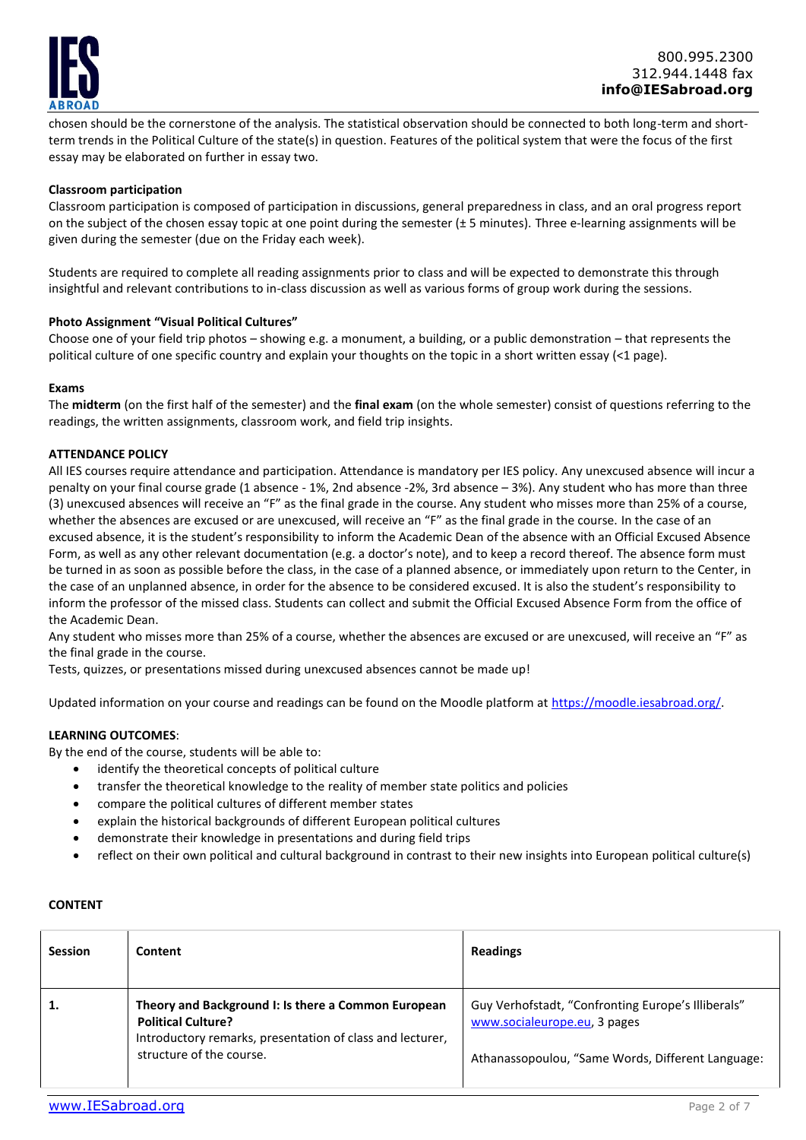

chosen should be the cornerstone of the analysis. The statistical observation should be connected to both long-term and shortterm trends in the Political Culture of the state(s) in question. Features of the political system that were the focus of the first essay may be elaborated on further in essay two.

### **Classroom participation**

Classroom participation is composed of participation in discussions, general preparedness in class, and an oral progress report on the subject of the chosen essay topic at one point during the semester  $(\pm 5$  minutes). Three e-learning assignments will be given during the semester (due on the Friday each week).

Students are required to complete all reading assignments prior to class and will be expected to demonstrate this through insightful and relevant contributions to in-class discussion as well as various forms of group work during the sessions.

### **Photo Assignment "Visual Political Cultures"**

Choose one of your field trip photos – showing e.g. a monument, a building, or a public demonstration – that represents the political culture of one specific country and explain your thoughts on the topic in a short written essay (<1 page).

#### **Exams**

The **midterm** (on the first half of the semester) and the **final exam** (on the whole semester) consist of questions referring to the readings, the written assignments, classroom work, and field trip insights.

### **ATTENDANCE POLICY**

All IES courses require attendance and participation. Attendance is mandatory per IES policy. Any unexcused absence will incur a penalty on your final course grade (1 absence - 1%, 2nd absence -2%, 3rd absence – 3%). Any student who has more than three (3) unexcused absences will receive an "F" as the final grade in the course. Any student who misses more than 25% of a course, whether the absences are excused or are unexcused, will receive an "F" as the final grade in the course. In the case of an excused absence, it is the student's responsibility to inform the Academic Dean of the absence with an Official Excused Absence Form, as well as any other relevant documentation (e.g. a doctor's note), and to keep a record thereof. The absence form must be turned in as soon as possible before the class, in the case of a planned absence, or immediately upon return to the Center, in the case of an unplanned absence, in order for the absence to be considered excused. It is also the student's responsibility to inform the professor of the missed class. Students can collect and submit the Official Excused Absence Form from the office of the Academic Dean.

Any student who misses more than 25% of a course, whether the absences are excused or are unexcused, will receive an "F" as the final grade in the course.

Tests, quizzes, or presentations missed during unexcused absences cannot be made up!

Updated information on your course and readings can be found on the Moodle platform at [https://moodle.iesabroad.org/.](https://moodle.iesabroad.org/)

## **LEARNING OUTCOMES**:

By the end of the course, students will be able to:

- identify the theoretical concepts of political culture
- transfer the theoretical knowledge to the reality of member state politics and policies
- compare the political cultures of different member states
- explain the historical backgrounds of different European political cultures
- demonstrate their knowledge in presentations and during field trips
- reflect on their own political and cultural background in contrast to their new insights into European political culture(s)

#### **CONTENT**

| <b>Session</b> | Content                                                                                                                                                                   | <b>Readings</b>                                                                                                                         |
|----------------|---------------------------------------------------------------------------------------------------------------------------------------------------------------------------|-----------------------------------------------------------------------------------------------------------------------------------------|
| 1.             | Theory and Background I: Is there a Common European<br><b>Political Culture?</b><br>Introductory remarks, presentation of class and lecturer,<br>structure of the course. | Guy Verhofstadt, "Confronting Europe's Illiberals"<br>www.socialeurope.eu, 3 pages<br>Athanassopoulou, "Same Words, Different Language: |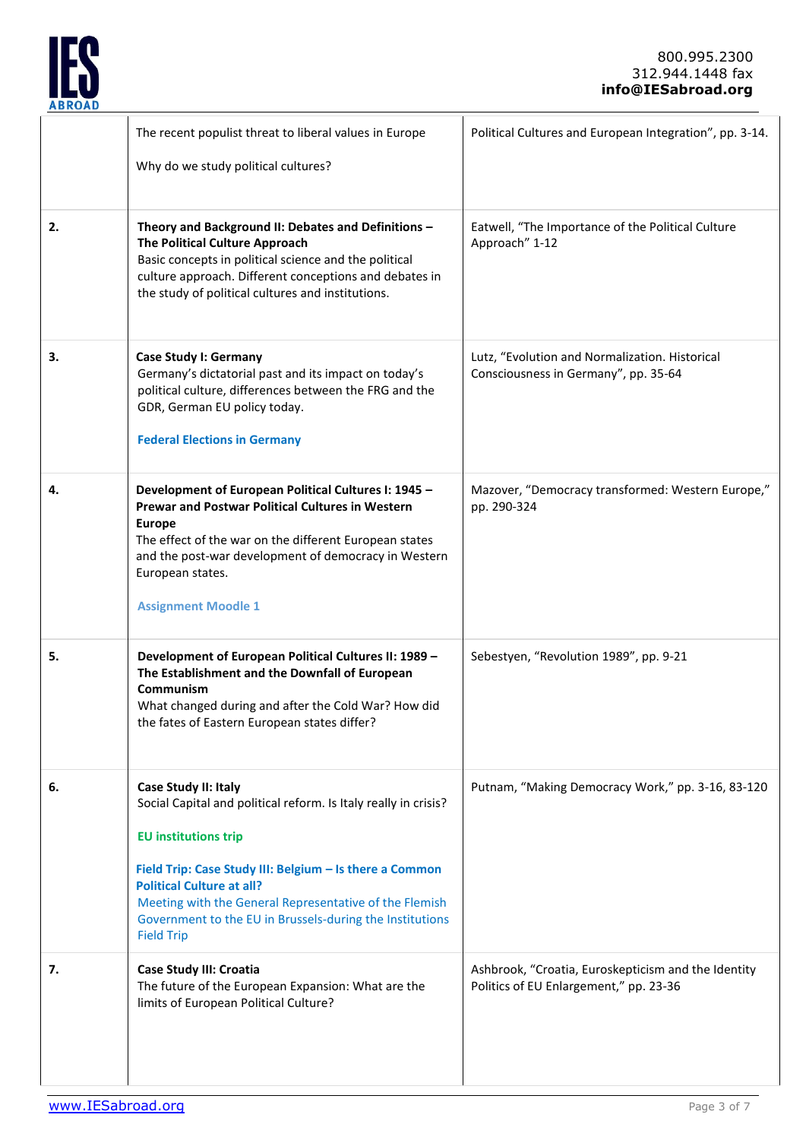

|    | The recent populist threat to liberal values in Europe<br>Why do we study political cultures?                                                                                                                                                                                                                                                                    | Political Cultures and European Integration", pp. 3-14.                                       |
|----|------------------------------------------------------------------------------------------------------------------------------------------------------------------------------------------------------------------------------------------------------------------------------------------------------------------------------------------------------------------|-----------------------------------------------------------------------------------------------|
| 2. | Theory and Background II: Debates and Definitions -<br>The Political Culture Approach<br>Basic concepts in political science and the political<br>culture approach. Different conceptions and debates in<br>the study of political cultures and institutions.                                                                                                    | Eatwell, "The Importance of the Political Culture<br>Approach" 1-12                           |
| З. | Case Study I: Germany<br>Germany's dictatorial past and its impact on today's<br>political culture, differences between the FRG and the<br>GDR, German EU policy today.<br><b>Federal Elections in Germany</b>                                                                                                                                                   | Lutz, "Evolution and Normalization. Historical<br>Consciousness in Germany", pp. 35-64        |
| 4. | Development of European Political Cultures I: 1945 -<br><b>Prewar and Postwar Political Cultures in Western</b><br><b>Europe</b><br>The effect of the war on the different European states<br>and the post-war development of democracy in Western<br>European states.<br><b>Assignment Moodle 1</b>                                                             | Mazover, "Democracy transformed: Western Europe,"<br>pp. 290-324                              |
| 5. | Development of European Political Cultures II: 1989 -<br>The Establishment and the Downfall of European<br>Communism<br>What changed during and after the Cold War? How did<br>the fates of Eastern European states differ?                                                                                                                                      | Sebestyen, "Revolution 1989", pp. 9-21                                                        |
| 6. | Case Study II: Italy<br>Social Capital and political reform. Is Italy really in crisis?<br><b>EU</b> institutions trip<br>Field Trip: Case Study III: Belgium - Is there a Common<br><b>Political Culture at all?</b><br>Meeting with the General Representative of the Flemish<br>Government to the EU in Brussels-during the Institutions<br><b>Field Trip</b> | Putnam, "Making Democracy Work," pp. 3-16, 83-120                                             |
| 7. | Case Study III: Croatia<br>The future of the European Expansion: What are the<br>limits of European Political Culture?                                                                                                                                                                                                                                           | Ashbrook, "Croatia, Euroskepticism and the Identity<br>Politics of EU Enlargement," pp. 23-36 |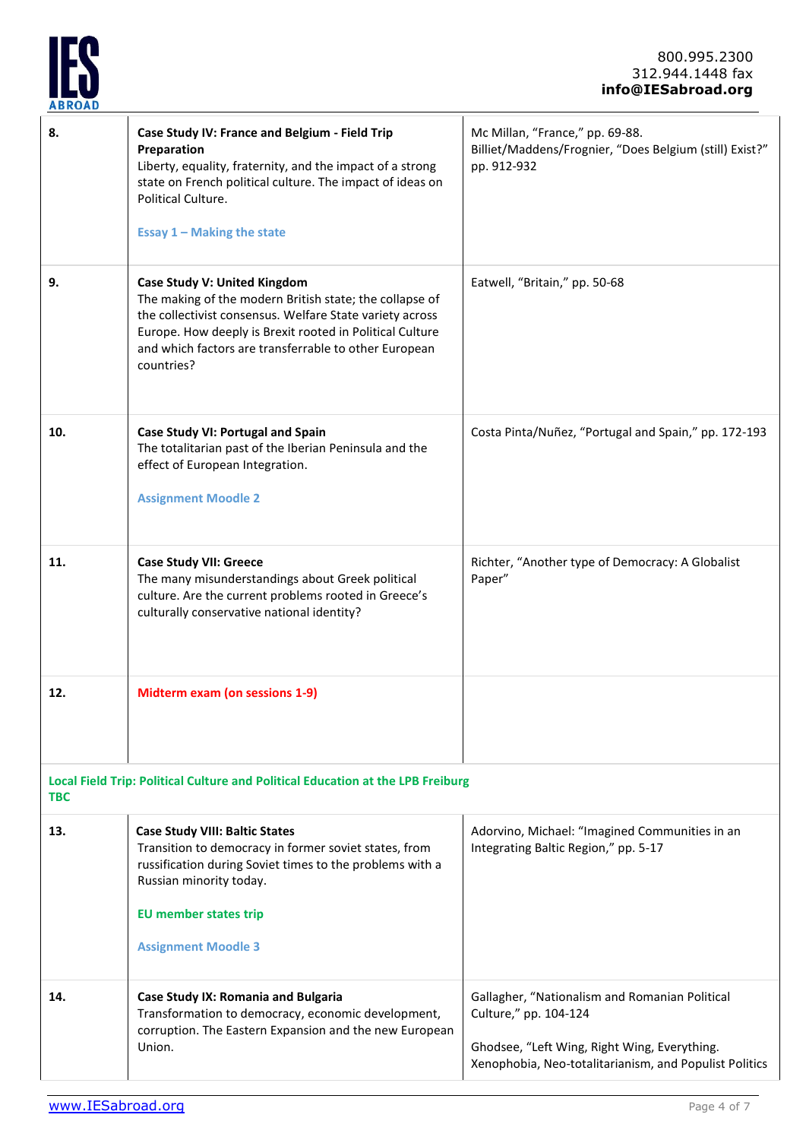

| 8.                                                                                            | Case Study IV: France and Belgium - Field Trip<br>Preparation<br>Liberty, equality, fraternity, and the impact of a strong<br>state on French political culture. The impact of ideas on<br>Political Culture.<br><b>Essay 1 - Making the state</b>                                     | Mc Millan, "France," pp. 69-88.<br>Billiet/Maddens/Frognier, "Does Belgium (still) Exist?"<br>pp. 912-932                                                                         |  |  |
|-----------------------------------------------------------------------------------------------|----------------------------------------------------------------------------------------------------------------------------------------------------------------------------------------------------------------------------------------------------------------------------------------|-----------------------------------------------------------------------------------------------------------------------------------------------------------------------------------|--|--|
| 9.                                                                                            | Case Study V: United Kingdom<br>The making of the modern British state; the collapse of<br>the collectivist consensus. Welfare State variety across<br>Europe. How deeply is Brexit rooted in Political Culture<br>and which factors are transferrable to other European<br>countries? | Eatwell, "Britain," pp. 50-68                                                                                                                                                     |  |  |
| 10.                                                                                           | Case Study VI: Portugal and Spain<br>The totalitarian past of the Iberian Peninsula and the<br>effect of European Integration.<br><b>Assignment Moodle 2</b>                                                                                                                           | Costa Pinta/Nuñez, "Portugal and Spain," pp. 172-193                                                                                                                              |  |  |
| 11.                                                                                           | <b>Case Study VII: Greece</b><br>The many misunderstandings about Greek political<br>culture. Are the current problems rooted in Greece's<br>culturally conservative national identity?                                                                                                | Richter, "Another type of Democracy: A Globalist<br>Paper"                                                                                                                        |  |  |
| 12.                                                                                           | <b>Midterm exam (on sessions 1-9)</b>                                                                                                                                                                                                                                                  |                                                                                                                                                                                   |  |  |
| Local Field Trip: Political Culture and Political Education at the LPB Freiburg<br><b>TBC</b> |                                                                                                                                                                                                                                                                                        |                                                                                                                                                                                   |  |  |
| 13.                                                                                           | <b>Case Study VIII: Baltic States</b><br>Transition to democracy in former soviet states, from<br>russification during Soviet times to the problems with a<br>Russian minority today.<br><b>EU member states trip</b><br><b>Assignment Moodle 3</b>                                    | Adorvino, Michael: "Imagined Communities in an<br>Integrating Baltic Region," pp. 5-17                                                                                            |  |  |
| 14.                                                                                           | Case Study IX: Romania and Bulgaria<br>Transformation to democracy, economic development,<br>corruption. The Eastern Expansion and the new European<br>Union.                                                                                                                          | Gallagher, "Nationalism and Romanian Political<br>Culture," pp. 104-124<br>Ghodsee, "Left Wing, Right Wing, Everything.<br>Xenophobia, Neo-totalitarianism, and Populist Politics |  |  |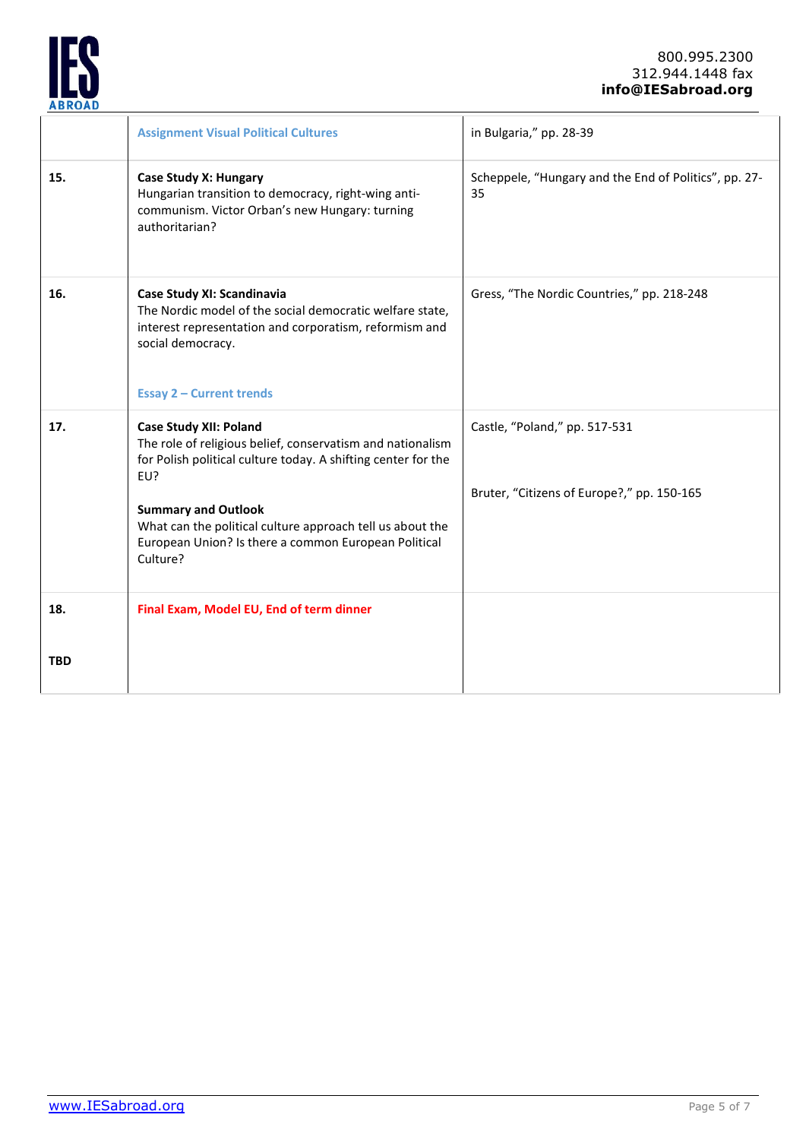

|                   | <b>Assignment Visual Political Cultures</b>                                                                                                                                                                                                                                                                                        | in Bulgaria," pp. 28-39                                                     |
|-------------------|------------------------------------------------------------------------------------------------------------------------------------------------------------------------------------------------------------------------------------------------------------------------------------------------------------------------------------|-----------------------------------------------------------------------------|
| 15.               | <b>Case Study X: Hungary</b><br>Hungarian transition to democracy, right-wing anti-<br>communism. Victor Orban's new Hungary: turning<br>authoritarian?                                                                                                                                                                            | Scheppele, "Hungary and the End of Politics", pp. 27-<br>35                 |
| 16.               | Case Study XI: Scandinavia<br>The Nordic model of the social democratic welfare state,<br>interest representation and corporatism, reformism and<br>social democracy.<br><b>Essay 2 - Current trends</b>                                                                                                                           | Gress, "The Nordic Countries," pp. 218-248                                  |
| 17.               | <b>Case Study XII: Poland</b><br>The role of religious belief, conservatism and nationalism<br>for Polish political culture today. A shifting center for the<br>EU?<br><b>Summary and Outlook</b><br>What can the political culture approach tell us about the<br>European Union? Is there a common European Political<br>Culture? | Castle, "Poland," pp. 517-531<br>Bruter, "Citizens of Europe?," pp. 150-165 |
| 18.<br><b>TBD</b> | Final Exam, Model EU, End of term dinner                                                                                                                                                                                                                                                                                           |                                                                             |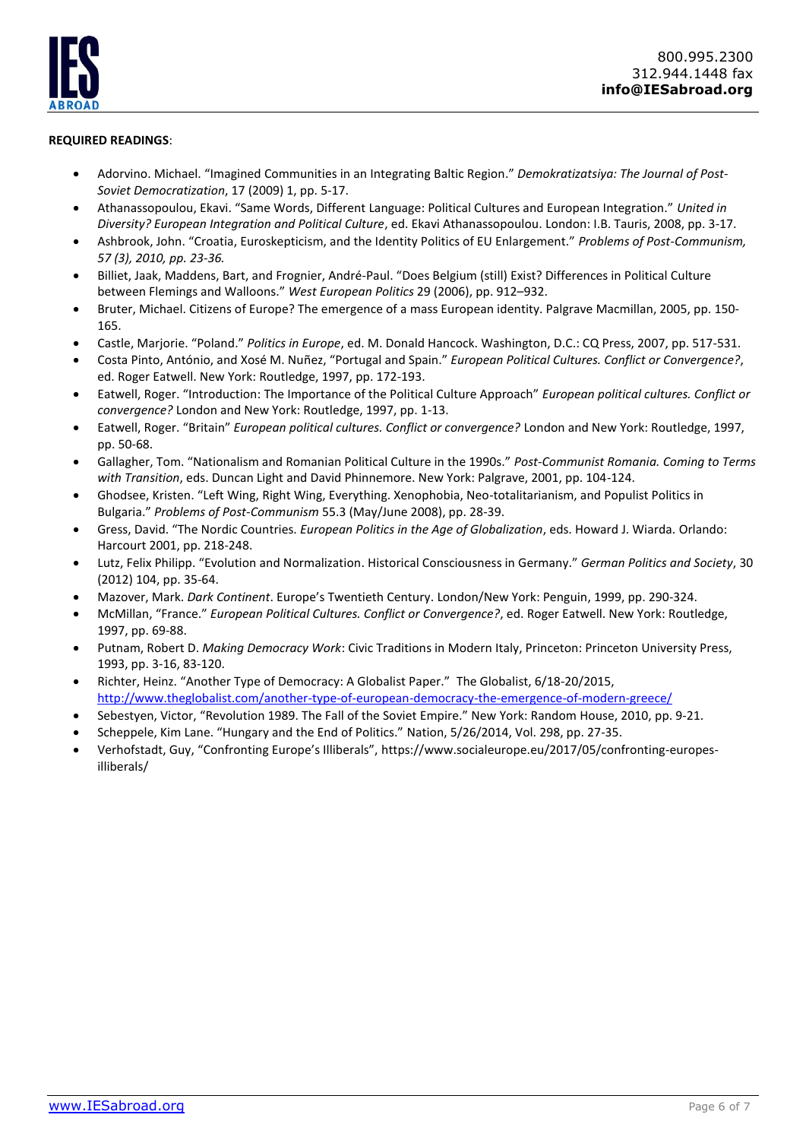# **REQUIRED READINGS**:

- Adorvino. Michael. "Imagined Communities in an Integrating Baltic Region." *Demokratizatsiya: The Journal of Post-Soviet Democratization*, 17 (2009) 1, pp. 5-17.
- Athanassopoulou, Ekavi. "Same Words, Different Language: Political Cultures and European Integration." *United in Diversity? European Integration and Political Culture*, ed. Ekavi Athanassopoulou. London: I.B. Tauris, 2008, pp. 3-17.
- Ashbrook, John. "Croatia, Euroskepticism, and the Identity Politics of EU Enlargement." *Problems of Post-Communism, 57 (3), 2010, pp. 23-36.*
- Billiet, Jaak, Maddens, Bart, and Frognier, André-Paul. "Does Belgium (still) Exist? Differences in Political Culture between Flemings and Walloons." *West European Politics* 29 (2006), pp. 912–932.
- Bruter, Michael. Citizens of Europe? The emergence of a mass European identity. Palgrave Macmillan, 2005, pp. 150- 165.
- Castle, Marjorie. "Poland." *Politics in Europe*, ed. M. Donald Hancock. Washington, D.C.: CQ Press, 2007, pp. 517-531.
- Costa Pinto, António, and Xosé M. Nuñez, "Portugal and Spain." *European Political Cultures. Conflict or Convergence?*, ed. Roger Eatwell. New York: Routledge, 1997, pp. 172-193.
- Eatwell, Roger. "Introduction: The Importance of the Political Culture Approach" *European political cultures. Conflict or convergence?* London and New York: Routledge, 1997, pp. 1-13.
- Eatwell, Roger. "Britain" *European political cultures. Conflict or convergence?* London and New York: Routledge, 1997, pp. 50-68.
- Gallagher, Tom. "Nationalism and Romanian Political Culture in the 1990s." *Post-Communist Romania. Coming to Terms with Transition*, eds. Duncan Light and David Phinnemore. New York: Palgrave, 2001, pp. 104-124.
- Ghodsee, Kristen. "Left Wing, Right Wing, Everything. Xenophobia, Neo-totalitarianism, and Populist Politics in Bulgaria." *Problems of Post-Communism* 55.3 (May/June 2008), pp. 28-39.
- Gress, David. "The Nordic Countries. *European Politics in the Age of Globalization*, eds. Howard J. Wiarda. Orlando: Harcourt 2001, pp. 218-248.
- Lutz, Felix Philipp. "Evolution and Normalization. Historical Consciousness in Germany." *German Politics and Society*, 30 (2012) 104, pp. 35-64.
- Mazover, Mark. *Dark Continent*. Europe's Twentieth Century. London/New York: Penguin, 1999, pp. 290-324.
- McMillan, "France." *European Political Cultures. Conflict or Convergence?*, ed. Roger Eatwell. New York: Routledge, 1997, pp. 69-88.
- Putnam, Robert D. *Making Democracy Work*: Civic Traditions in Modern Italy, Princeton: Princeton University Press, 1993, pp. 3-16, 83-120.
- Richter, Heinz. "Another Type of Democracy: A Globalist Paper." The Globalist, 6/18-20/2015, <http://www.theglobalist.com/another-type-of-european-democracy-the-emergence-of-modern-greece/>
- Sebestyen, Victor, "Revolution 1989. The Fall of the Soviet Empire." New York: Random House, 2010, pp. 9-21.
- Scheppele, Kim Lane. "Hungary and the End of Politics." Nation, 5/26/2014, Vol. 298, pp. 27-35.
- Verhofstadt, Guy, "Confronting Europe's Illiberals", https://www.socialeurope.eu/2017/05/confronting-europesilliberals/